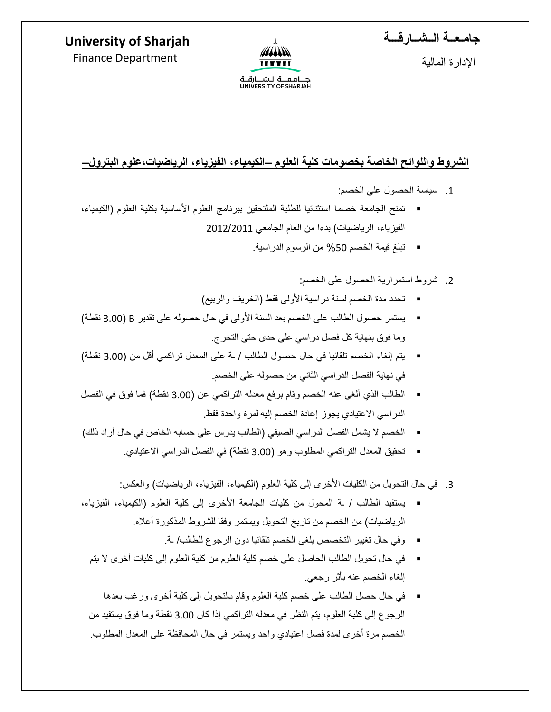## **جامـعــة الــشــارقـــة**



**University of Sharjah**  Finance Department

اإلدارة المالية

جــــامــعــــة الــشــــارقـــة<br>UNIVERSITY OF SHARJAH

### **الشروط واللوائح الخاصة بخصومات كلية العلوم –الكيمياء، الفيزياء، الرياضيات،علوم البترول–**

- .1 سياسة الحصول على الخصم:
- تمنح الجامعة خصما استثنائيا للطلبة الملتحقين ببرنامج العلوم الأساسية بكلية العلوم (الكيمياء، الفيزياء، الرياضيات) بدءا من العام الجامعي 2012/2011
	- تبلغ قيمة الخصم %50 من الرسوم الدراسية.
		- .2 شروط استمرارية الحصول على الخصم:
	- تحدد مدة الخصم لسنة دراسية األولى فقط )الخريف والربيع(
- يستمر حصول الطالب على الخصم بعد السنة األولى في حال حصوله على تقدير B( 3.00 نقطة( وما فوق بنهاية كل فصل دراسي على حدى حتى التخرج.
- يتم إلغاء الخصم تلقائيا في حال حصول الطالب / ـة على المعدل تراكمي أقل من )3.00 نقطة( في نهاية الفصل الدراسي الثاني من حصوله على الخصم.
- الطالب الذي ألغى عنه الخصم وقام برفع معدله التراكمي عن )3.00 نقطة( فما فوق في الفصل الدراسي االعتيادي يجوز إعادة الخصم إليه لمرة واحدة فقط.
- الخصم لا يشمل الفصل الدر اسي الصيفي (الطالب يدرس على حسابه الخاص في حال أر اد ذلك)
	- تحقيق المعدل التراكمي المطلوب وهو (3.00 نقطة) في الفصل الدراسي الاعتيادي.
	- 3. في حال التحويل من الكليات الأخرى إلى كلية العلوم (الكيمياء، الفيزياء، الرياضيات) والعكس:
- يستفيد الطالب / ـة المحول من كليات الجامعة األخرى إلى كلية العلوم )الكيمياء، الفيزياء، الرياضيات) من الخصم من تاريخ التحويل ويستمر وفقا للشروط المذكورة أعلاه.
	- وفي حال تغيير التخصص يلغى الخصم تلقائيا دون الرجوع للطالب/ ـة.
	- في حال تحويل الطالب الحاصل على خصم كلية العلوم من كلية العلوم إلى كليات أخرى ال يتم إلغاء الخصم عنه بأثر رجعي.
	- في حال حصل الطالب على خصم كلية العلوم وقام بالتحويل إلى كلية أخرى ورغب بعدها الرجوع إلى كلية العلوم، يتم النظر في معدله التراكمي إذا كان 3.00 نقطة وما فوق يستفيد من الخصم مرة أخرى لمدة فصل اعتيادي واحد ويستمر في حال المحافظة على المعدل المطلوب.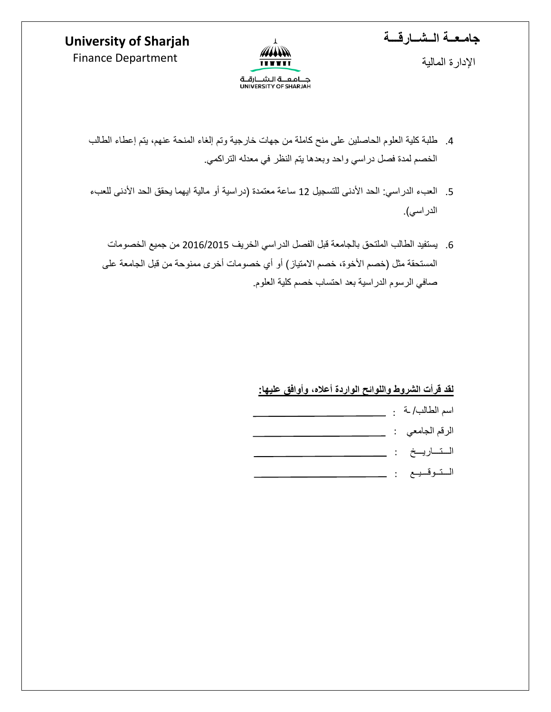# **University of Sharjah**



اإلدارة المالية



ANN  $\overline{111111}$ 

جــــامــعــــة الــشـــارقـــة<br>UNIVERSITY OF SHARJAH

- .4 طلبة كلية العلوم الحاصلين على منح كاملة من جهات خارجية وتم إلغاء المنحة عنهم، يتم إعطاء الطالب الخصم لمدة فصل دراسي واحد وبعدها يتم النظر في معدله التراكمي.
- 5. العبء الدراسي: الحد الأدنى للتسجيل 12 ساعة معتمدة (دراسية أو مالية ايهما يحقق الحد الأدنى للعبء الدراسي).
	- .6 يستفيد الطالب الملتحق بالجامعة قبل الفصل الدراسي الخريف 2016/2015 من جميع الخصومات المستحقة مثل (خصم الأخوة، خصم الامتياز ) أو أي خصومات أخرى ممنوحة من قبل الجامعة على صافي الرسوم الدراسية بعد احتساب خصم كلية العلوم.

#### **لقد قرأت الشروط واللوائح الواردة أعاله، وأوافق عليها:**

|  | اسم الطالب/ ـة . |
|--|------------------|
|  | الرقم الجامعي :  |
|  | الـتــاريــخ :   |
|  | التوقيع :        |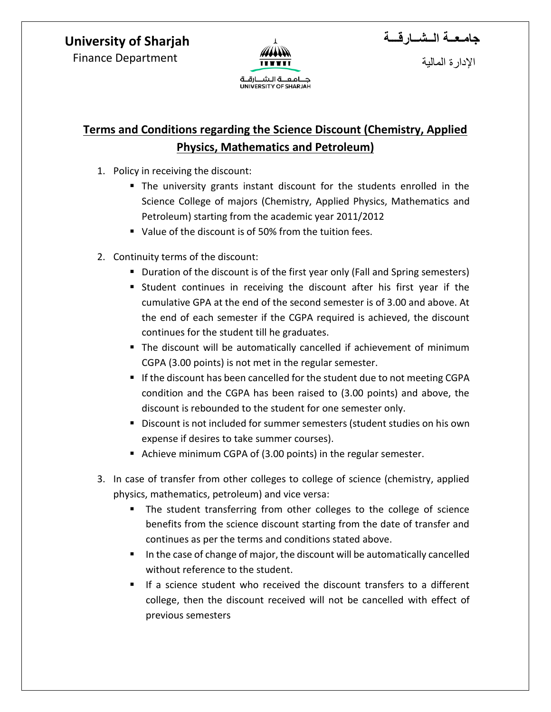### **University of Sharjah**

Finance Department



**جامـعــة الــشــارقـــة**

اإلدارة المالية

بامعية الشيبارقية UNIVERSITY OF SHARJAH

# **Terms and Conditions regarding the Science Discount (Chemistry, Applied Physics, Mathematics and Petroleum)**

- 1. Policy in receiving the discount:
	- The university grants instant discount for the students enrolled in the Science College of majors (Chemistry, Applied Physics, Mathematics and Petroleum) starting from the academic year 2011/2012
	- Value of the discount is of 50% from the tuition fees.
- 2. Continuity terms of the discount:
	- **Duration of the discount is of the first year only (Fall and Spring semesters)**
	- Student continues in receiving the discount after his first year if the cumulative GPA at the end of the second semester is of 3.00 and above. At the end of each semester if the CGPA required is achieved, the discount continues for the student till he graduates.
	- The discount will be automatically cancelled if achievement of minimum CGPA (3.00 points) is not met in the regular semester.
	- If the discount has been cancelled for the student due to not meeting CGPA condition and the CGPA has been raised to (3.00 points) and above, the discount is rebounded to the student for one semester only.
	- **Discount is not included for summer semesters (student studies on his own** expense if desires to take summer courses).
	- Achieve minimum CGPA of (3.00 points) in the regular semester.
- 3. In case of transfer from other colleges to college of science (chemistry, applied physics, mathematics, petroleum) and vice versa:
	- The student transferring from other colleges to the college of science benefits from the science discount starting from the date of transfer and continues as per the terms and conditions stated above.
	- In the case of change of major, the discount will be automatically cancelled without reference to the student.
	- If a science student who received the discount transfers to a different college, then the discount received will not be cancelled with effect of previous semesters